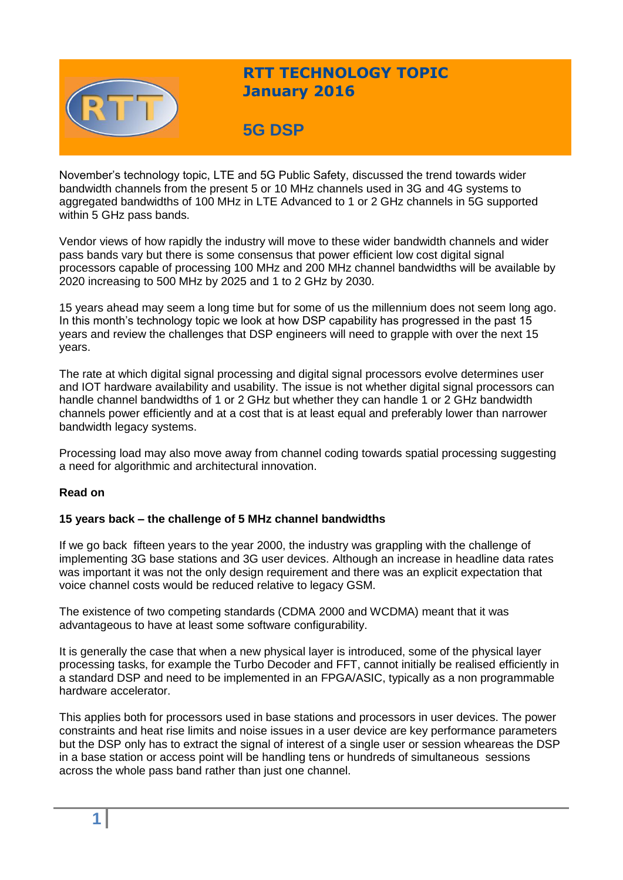

# **RTT TECHNOLOGY TOPIC January 2016**

# **5G DSP**

November's technology topic, LTE and 5G Public Safety, discussed the trend towards wider bandwidth channels from the present 5 or 10 MHz channels used in 3G and 4G systems to aggregated bandwidths of 100 MHz in LTE Advanced to 1 or 2 GHz channels in 5G supported within 5 GHz pass bands.

Vendor views of how rapidly the industry will move to these wider bandwidth channels and wider pass bands vary but there is some consensus that power efficient low cost digital signal processors capable of processing 100 MHz and 200 MHz channel bandwidths will be available by 2020 increasing to 500 MHz by 2025 and 1 to 2 GHz by 2030.

15 years ahead may seem a long time but for some of us the millennium does not seem long ago. In this month's technology topic we look at how DSP capability has progressed in the past 15 years and review the challenges that DSP engineers will need to grapple with over the next 15 years.

The rate at which digital signal processing and digital signal processors evolve determines user and IOT hardware availability and usability. The issue is not whether digital signal processors can handle channel bandwidths of 1 or 2 GHz but whether they can handle 1 or 2 GHz bandwidth channels power efficiently and at a cost that is at least equal and preferably lower than narrower bandwidth legacy systems.

Processing load may also move away from channel coding towards spatial processing suggesting a need for algorithmic and architectural innovation.

## **Read on**

#### **15 years back – the challenge of 5 MHz channel bandwidths**

If we go back fifteen years to the year 2000, the industry was grappling with the challenge of implementing 3G base stations and 3G user devices. Although an increase in headline data rates was important it was not the only design requirement and there was an explicit expectation that voice channel costs would be reduced relative to legacy GSM.

The existence of two competing standards (CDMA 2000 and WCDMA) meant that it was advantageous to have at least some software configurability.

It is generally the case that when a new physical layer is introduced, some of the physical layer processing tasks, for example the Turbo Decoder and FFT, cannot initially be realised efficiently in a standard DSP and need to be implemented in an FPGA/ASIC, typically as a non programmable hardware accelerator.

This applies both for processors used in base stations and processors in user devices. The power constraints and heat rise limits and noise issues in a user device are key performance parameters but the DSP only has to extract the signal of interest of a single user or session wheareas the DSP in a base station or access point will be handling tens or hundreds of simultaneous sessions across the whole pass band rather than just one channel.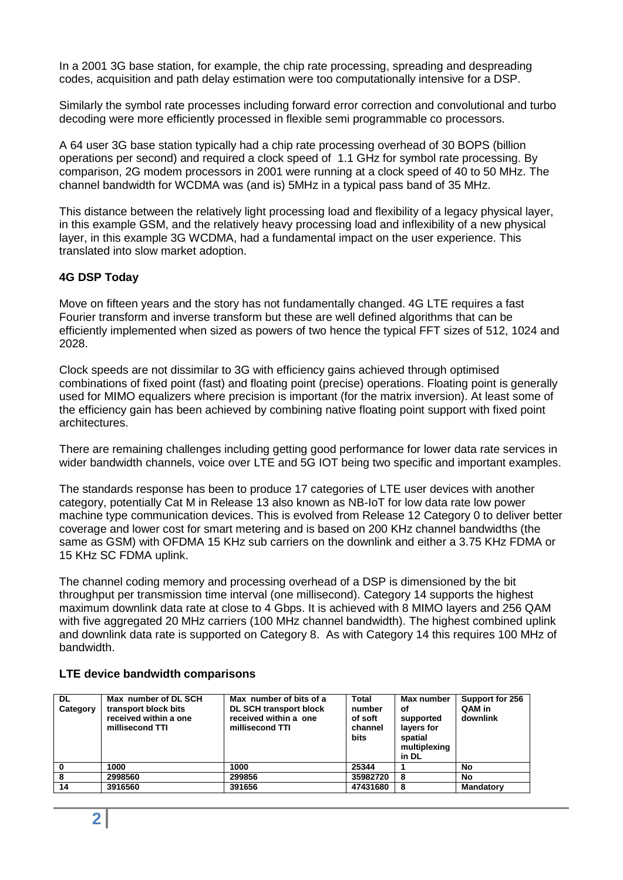In a 2001 3G base station, for example, the chip rate processing, spreading and despreading codes, acquisition and path delay estimation were too computationally intensive for a DSP.

Similarly the symbol rate processes including forward error correction and convolutional and turbo decoding were more efficiently processed in flexible semi programmable co processors.

A 64 user 3G base station typically had a chip rate processing overhead of 30 BOPS (billion operations per second) and required a clock speed of 1.1 GHz for symbol rate processing. By comparison, 2G modem processors in 2001 were running at a clock speed of 40 to 50 MHz. The channel bandwidth for WCDMA was (and is) 5MHz in a typical pass band of 35 MHz.

This distance between the relatively light processing load and flexibility of a legacy physical layer, in this example GSM, and the relatively heavy processing load and inflexibility of a new physical layer, in this example 3G WCDMA, had a fundamental impact on the user experience. This translated into slow market adoption.

### **4G DSP Today**

Move on fifteen years and the story has not fundamentally changed. 4G LTE requires a fast Fourier transform and inverse transform but these are well defined algorithms that can be efficiently implemented when sized as powers of two hence the typical FFT sizes of 512, 1024 and 2028.

Clock speeds are not dissimilar to 3G with efficiency gains achieved through optimised combinations of fixed point (fast) and floating point (precise) operations. Floating point is generally used for MIMO equalizers where precision is important (for the matrix inversion). At least some of the efficiency gain has been achieved by combining native floating point support with fixed point architectures.

There are remaining challenges including getting good performance for lower data rate services in wider bandwidth channels, voice over LTE and 5G IOT being two specific and important examples.

The standards response has been to produce 17 categories of LTE user devices with another category, potentially Cat M in Release 13 also known as NB-IoT for low data rate low power machine type communication devices. This is evolved from Release 12 Category 0 to deliver better coverage and lower cost for smart metering and is based on 200 KHz channel bandwidths (the same as GSM) with OFDMA 15 KHz sub carriers on the downlink and either a 3.75 KHz FDMA or 15 KHz SC FDMA uplink.

The channel coding memory and processing overhead of a DSP is dimensioned by the bit throughput per transmission time interval (one millisecond). Category 14 supports the highest maximum downlink data rate at close to 4 Gbps. It is achieved with 8 MIMO layers and 256 QAM with five aggregated 20 MHz carriers (100 MHz channel bandwidth). The highest combined uplink and downlink data rate is supported on Category 8. As with Category 14 this requires 100 MHz of bandwidth.

| DL.<br>Category | Max number of DL SCH<br>transport block bits<br>received within a one<br>millisecond TTI | Max number of bits of a<br><b>DL SCH transport block</b><br>received within a one<br>millisecond TTI | Total<br>number<br>of soft<br>channel<br><b>bits</b> | Max number<br>οf<br>supported<br>layers for<br>spatial<br>multiplexing<br>in DL | Support for 256<br>QAM in<br>downlink |
|-----------------|------------------------------------------------------------------------------------------|------------------------------------------------------------------------------------------------------|------------------------------------------------------|---------------------------------------------------------------------------------|---------------------------------------|
| $\mathbf 0$     | 1000                                                                                     | 1000                                                                                                 | 25344                                                |                                                                                 | No                                    |
| 8               | 2998560                                                                                  | 299856                                                                                               | 35982720                                             | -8                                                                              | No                                    |
| 14              | 3916560                                                                                  | 391656                                                                                               | 47431680                                             | 8                                                                               | <b>Mandatory</b>                      |

## **LTE device bandwidth comparisons**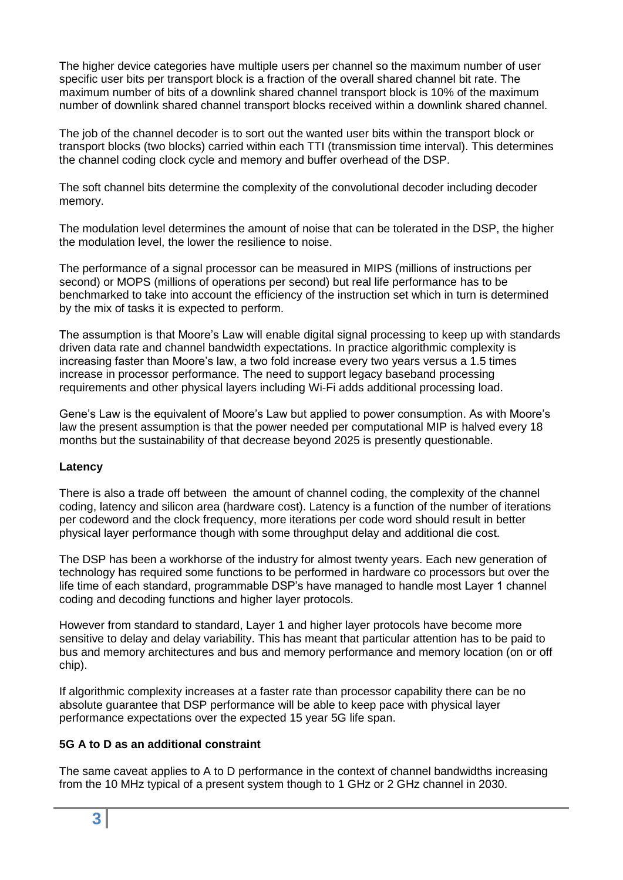The higher device categories have multiple users per channel so the maximum number of user specific user bits per transport block is a fraction of the overall shared channel bit rate. The maximum number of bits of a downlink shared channel transport block is 10% of the maximum number of downlink shared channel transport blocks received within a downlink shared channel.

The job of the channel decoder is to sort out the wanted user bits within the transport block or transport blocks (two blocks) carried within each TTI (transmission time interval). This determines the channel coding clock cycle and memory and buffer overhead of the DSP.

The soft channel bits determine the complexity of the convolutional decoder including decoder memory.

The modulation level determines the amount of noise that can be tolerated in the DSP, the higher the modulation level, the lower the resilience to noise.

The performance of a signal processor can be measured in MIPS (millions of instructions per second) or MOPS (millions of operations per second) but real life performance has to be benchmarked to take into account the efficiency of the instruction set which in turn is determined by the mix of tasks it is expected to perform.

The assumption is that Moore's Law will enable digital signal processing to keep up with standards driven data rate and channel bandwidth expectations. In practice algorithmic complexity is increasing faster than Moore's law, a two fold increase every two years versus a 1.5 times increase in processor performance. The need to support legacy baseband processing requirements and other physical layers including Wi-Fi adds additional processing load.

Gene's Law is the equivalent of Moore's Law but applied to power consumption. As with Moore's law the present assumption is that the power needed per computational MIP is halved every 18 months but the sustainability of that decrease beyond 2025 is presently questionable.

#### **Latency**

There is also a trade off between the amount of channel coding, the complexity of the channel coding, latency and silicon area (hardware cost). Latency is a function of the number of iterations per codeword and the clock frequency, more iterations per code word should result in better physical layer performance though with some throughput delay and additional die cost.

The DSP has been a workhorse of the industry for almost twenty years. Each new generation of technology has required some functions to be performed in hardware co processors but over the life time of each standard, programmable DSP's have managed to handle most Layer 1 channel coding and decoding functions and higher layer protocols.

However from standard to standard, Layer 1 and higher layer protocols have become more sensitive to delay and delay variability. This has meant that particular attention has to be paid to bus and memory architectures and bus and memory performance and memory location (on or off chip).

If algorithmic complexity increases at a faster rate than processor capability there can be no absolute guarantee that DSP performance will be able to keep pace with physical layer performance expectations over the expected 15 year 5G life span.

#### **5G A to D as an additional constraint**

The same caveat applies to A to D performance in the context of channel bandwidths increasing from the 10 MHz typical of a present system though to 1 GHz or 2 GHz channel in 2030.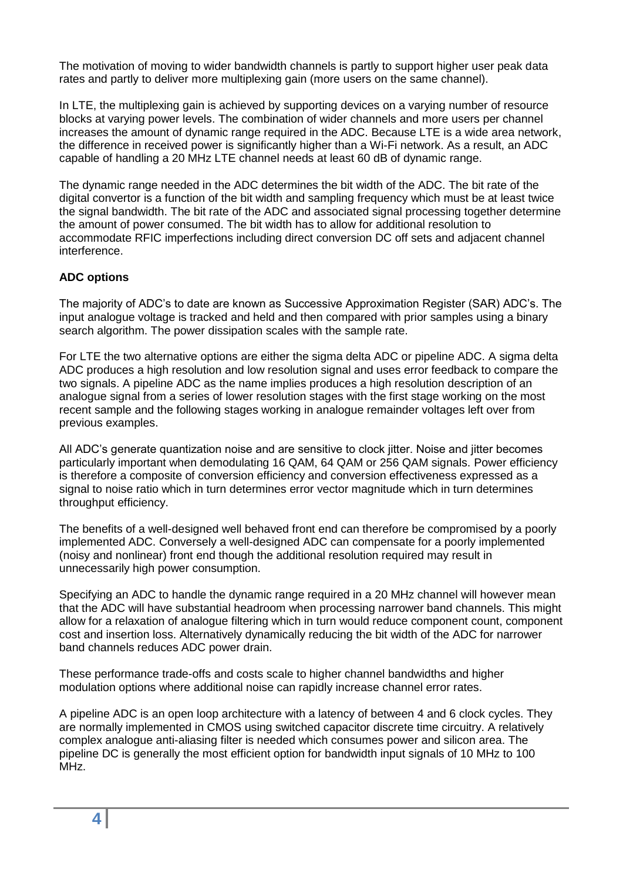The motivation of moving to wider bandwidth channels is partly to support higher user peak data rates and partly to deliver more multiplexing gain (more users on the same channel).

In LTE, the multiplexing gain is achieved by supporting devices on a varying number of resource blocks at varying power levels. The combination of wider channels and more users per channel increases the amount of dynamic range required in the ADC. Because LTE is a wide area network, the difference in received power is significantly higher than a Wi-Fi network. As a result, an ADC capable of handling a 20 MHz LTE channel needs at least 60 dB of dynamic range.

The dynamic range needed in the ADC determines the bit width of the ADC. The bit rate of the digital convertor is a function of the bit width and sampling frequency which must be at least twice the signal bandwidth. The bit rate of the ADC and associated signal processing together determine the amount of power consumed. The bit width has to allow for additional resolution to accommodate RFIC imperfections including direct conversion DC off sets and adjacent channel interference.

## **ADC options**

The majority of ADC's to date are known as Successive Approximation Register (SAR) ADC's. The input analogue voltage is tracked and held and then compared with prior samples using a binary search algorithm. The power dissipation scales with the sample rate.

For LTE the two alternative options are either the sigma delta ADC or pipeline ADC. A sigma delta ADC produces a high resolution and low resolution signal and uses error feedback to compare the two signals. A pipeline ADC as the name implies produces a high resolution description of an analogue signal from a series of lower resolution stages with the first stage working on the most recent sample and the following stages working in analogue remainder voltages left over from previous examples.

All ADC's generate quantization noise and are sensitive to clock jitter. Noise and jitter becomes particularly important when demodulating 16 QAM, 64 QAM or 256 QAM signals. Power efficiency is therefore a composite of conversion efficiency and conversion effectiveness expressed as a signal to noise ratio which in turn determines error vector magnitude which in turn determines throughput efficiency.

The benefits of a well-designed well behaved front end can therefore be compromised by a poorly implemented ADC. Conversely a well-designed ADC can compensate for a poorly implemented (noisy and nonlinear) front end though the additional resolution required may result in unnecessarily high power consumption.

Specifying an ADC to handle the dynamic range required in a 20 MHz channel will however mean that the ADC will have substantial headroom when processing narrower band channels. This might allow for a relaxation of analogue filtering which in turn would reduce component count, component cost and insertion loss. Alternatively dynamically reducing the bit width of the ADC for narrower band channels reduces ADC power drain.

These performance trade-offs and costs scale to higher channel bandwidths and higher modulation options where additional noise can rapidly increase channel error rates.

A pipeline ADC is an open loop architecture with a latency of between 4 and 6 clock cycles. They are normally implemented in CMOS using switched capacitor discrete time circuitry. A relatively complex analogue anti-aliasing filter is needed which consumes power and silicon area. The pipeline DC is generally the most efficient option for bandwidth input signals of 10 MHz to 100 MHz.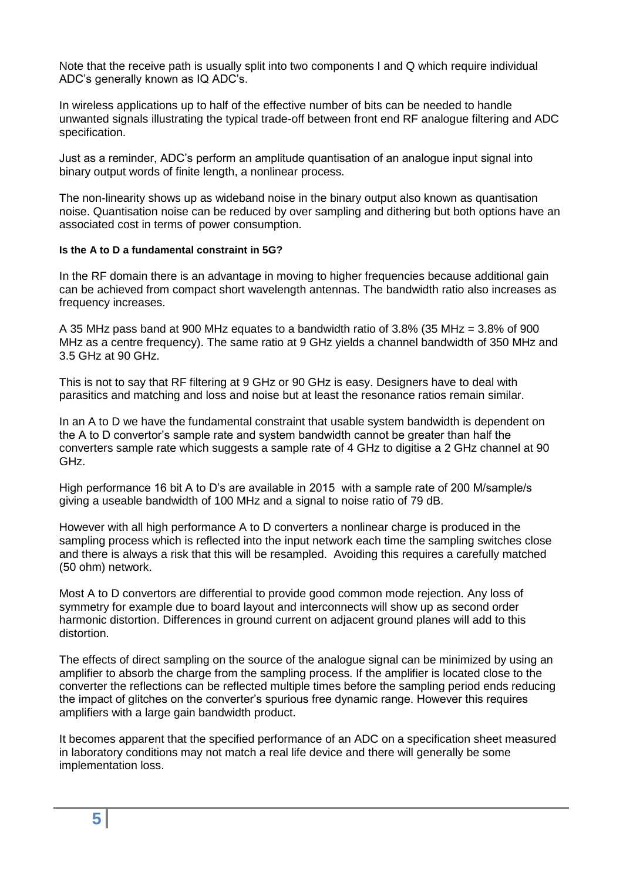Note that the receive path is usually split into two components I and Q which require individual ADC's generally known as IQ ADC's.

In wireless applications up to half of the effective number of bits can be needed to handle unwanted signals illustrating the typical trade-off between front end RF analogue filtering and ADC specification.

Just as a reminder, ADC's perform an amplitude quantisation of an analogue input signal into binary output words of finite length, a nonlinear process.

The non-linearity shows up as wideband noise in the binary output also known as quantisation noise. Quantisation noise can be reduced by over sampling and dithering but both options have an associated cost in terms of power consumption.

#### **Is the A to D a fundamental constraint in 5G?**

In the RF domain there is an advantage in moving to higher frequencies because additional gain can be achieved from compact short wavelength antennas. The bandwidth ratio also increases as frequency increases.

A 35 MHz pass band at 900 MHz equates to a bandwidth ratio of 3.8% (35 MHz = 3.8% of 900 MHz as a centre frequency). The same ratio at 9 GHz yields a channel bandwidth of 350 MHz and 3.5 GHz at 90 GHz.

This is not to say that RF filtering at 9 GHz or 90 GHz is easy. Designers have to deal with parasitics and matching and loss and noise but at least the resonance ratios remain similar.

In an A to D we have the fundamental constraint that usable system bandwidth is dependent on the A to D convertor's sample rate and system bandwidth cannot be greater than half the converters sample rate which suggests a sample rate of 4 GHz to digitise a 2 GHz channel at 90 GHz.

High performance 16 bit A to D's are available in 2015 with a sample rate of 200 M/sample/s giving a useable bandwidth of 100 MHz and a signal to noise ratio of 79 dB.

However with all high performance A to D converters a nonlinear charge is produced in the sampling process which is reflected into the input network each time the sampling switches close and there is always a risk that this will be resampled. Avoiding this requires a carefully matched (50 ohm) network.

Most A to D convertors are differential to provide good common mode rejection. Any loss of symmetry for example due to board layout and interconnects will show up as second order harmonic distortion. Differences in ground current on adjacent ground planes will add to this distortion.

The effects of direct sampling on the source of the analogue signal can be minimized by using an amplifier to absorb the charge from the sampling process. If the amplifier is located close to the converter the reflections can be reflected multiple times before the sampling period ends reducing the impact of glitches on the converter's spurious free dynamic range. However this requires amplifiers with a large gain bandwidth product.

It becomes apparent that the specified performance of an ADC on a specification sheet measured in laboratory conditions may not match a real life device and there will generally be some implementation loss.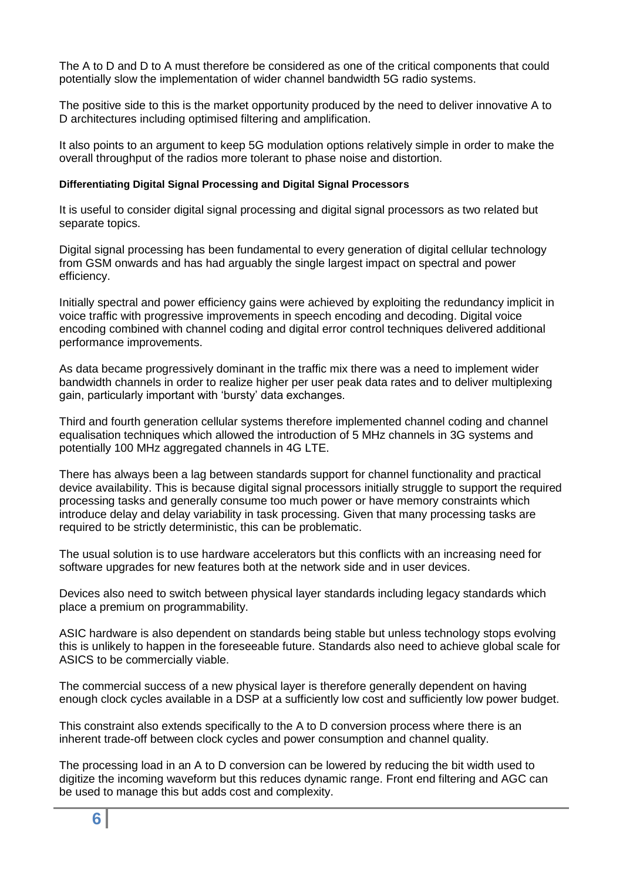The A to D and D to A must therefore be considered as one of the critical components that could potentially slow the implementation of wider channel bandwidth 5G radio systems.

The positive side to this is the market opportunity produced by the need to deliver innovative A to D architectures including optimised filtering and amplification.

It also points to an argument to keep 5G modulation options relatively simple in order to make the overall throughput of the radios more tolerant to phase noise and distortion.

#### **Differentiating Digital Signal Processing and Digital Signal Processors**

It is useful to consider digital signal processing and digital signal processors as two related but separate topics.

Digital signal processing has been fundamental to every generation of digital cellular technology from GSM onwards and has had arguably the single largest impact on spectral and power efficiency.

Initially spectral and power efficiency gains were achieved by exploiting the redundancy implicit in voice traffic with progressive improvements in speech encoding and decoding. Digital voice encoding combined with channel coding and digital error control techniques delivered additional performance improvements.

As data became progressively dominant in the traffic mix there was a need to implement wider bandwidth channels in order to realize higher per user peak data rates and to deliver multiplexing gain, particularly important with 'bursty' data exchanges.

Third and fourth generation cellular systems therefore implemented channel coding and channel equalisation techniques which allowed the introduction of 5 MHz channels in 3G systems and potentially 100 MHz aggregated channels in 4G LTE.

There has always been a lag between standards support for channel functionality and practical device availability. This is because digital signal processors initially struggle to support the required processing tasks and generally consume too much power or have memory constraints which introduce delay and delay variability in task processing. Given that many processing tasks are required to be strictly deterministic, this can be problematic.

The usual solution is to use hardware accelerators but this conflicts with an increasing need for software upgrades for new features both at the network side and in user devices.

Devices also need to switch between physical layer standards including legacy standards which place a premium on programmability.

ASIC hardware is also dependent on standards being stable but unless technology stops evolving this is unlikely to happen in the foreseeable future. Standards also need to achieve global scale for ASICS to be commercially viable.

The commercial success of a new physical layer is therefore generally dependent on having enough clock cycles available in a DSP at a sufficiently low cost and sufficiently low power budget.

This constraint also extends specifically to the A to D conversion process where there is an inherent trade-off between clock cycles and power consumption and channel quality.

The processing load in an A to D conversion can be lowered by reducing the bit width used to digitize the incoming waveform but this reduces dynamic range. Front end filtering and AGC can be used to manage this but adds cost and complexity.